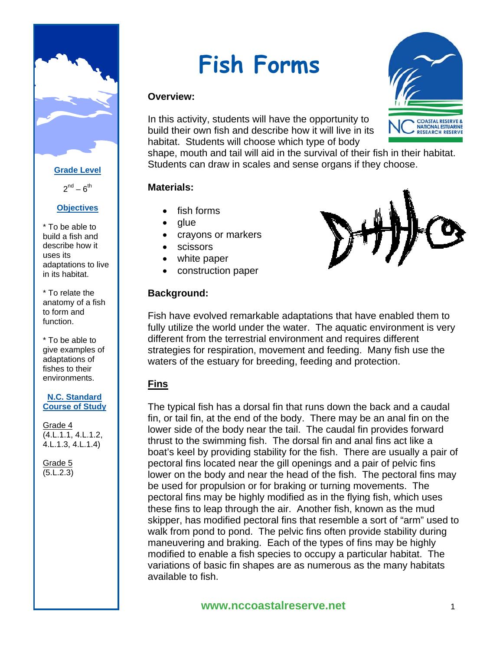

**Grade Level**

 $2^{nd} - 6^{th}$ 

#### **Objectives**

\* To be able to build a fish and describe how it uses its adaptations to live in its habitat.

\* To relate the anatomy of a fish to form and function.

\* To be able to give examples of adaptations of fishes to their environments.

#### **N.C. Standard Course of Study**

Grade 4 (4.L.1.1, 4.L.1.2, 4.L.1.3, 4.L.1.4)

Grade 5 (5.L.2.3)

# **Fish Forms**

#### **Overview:**

In this activity, students will have the opportunity to build their own fish and describe how it will live in its habitat. Students will choose which type of body

shape, mouth and tail will aid in the survival of their fish in their habitat. Students can draw in scales and sense organs if they choose.

#### **Materials:**

- fish forms
- glue
- crayons or markers
- scissors
- white paper
- construction paper

#### **Background:**



**COASTAL RESERVE & NATIONAL ESTUARINE RESEARCH RESERVE** 

Fish have evolved remarkable adaptations that have enabled them to fully utilize the world under the water. The aquatic environment is very different from the terrestrial environment and requires different strategies for respiration, movement and feeding. Many fish use the waters of the estuary for breeding, feeding and protection.

# **Fins**

The typical fish has a dorsal fin that runs down the back and a caudal fin, or tail fin, at the end of the body. There may be an anal fin on the lower side of the body near the tail. The caudal fin provides forward thrust to the swimming fish. The dorsal fin and anal fins act like a boat's keel by providing stability for the fish. There are usually a pair of pectoral fins located near the gill openings and a pair of pelvic fins lower on the body and near the head of the fish. The pectoral fins may be used for propulsion or for braking or turning movements. The pectoral fins may be highly modified as in the flying fish, which uses these fins to leap through the air. Another fish, known as the mud skipper, has modified pectoral fins that resemble a sort of "arm" used to walk from pond to pond. The pelvic fins often provide stability during maneuvering and braking. Each of the types of fins may be highly modified to enable a fish species to occupy a particular habitat. The variations of basic fin shapes are as numerous as the many habitats available to fish.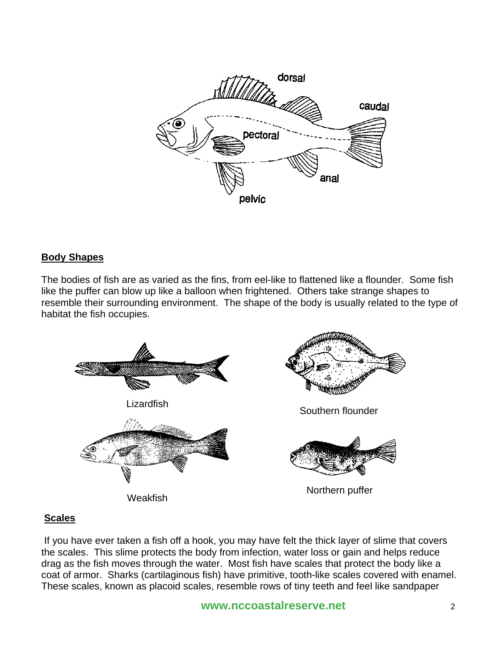

#### **Body Shapes**

The bodies of fish are as varied as the fins, from eel-like to flattened like a flounder. Some fish like the puffer can blow up like a balloon when frightened. Others take strange shapes to resemble their surrounding environment. The shape of the body is usually related to the type of habitat the fish occupies.



# **Scales**

 If you have ever taken a fish off a hook, you may have felt the thick layer of slime that covers the scales. This slime protects the body from infection, water loss or gain and helps reduce drag as the fish moves through the water. Most fish have scales that protect the body like a coat of armor. Sharks (cartilaginous fish) have primitive, tooth-like scales covered with enamel. These scales, known as placoid scales, resemble rows of tiny teeth and feel like sandpaper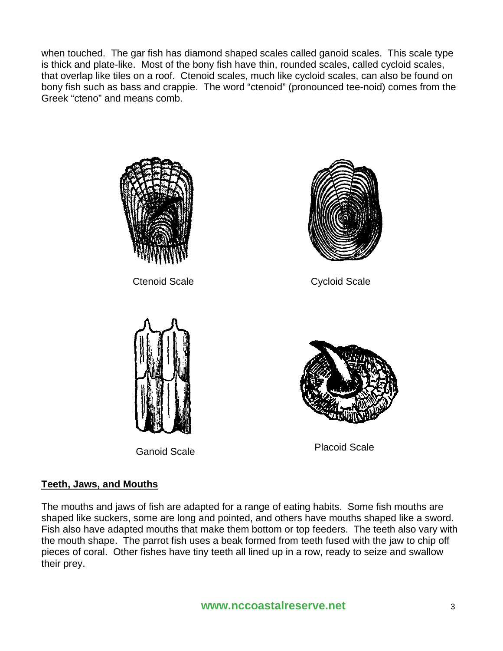when touched. The gar fish has diamond shaped scales called ganoid scales. This scale type is thick and plate-like. Most of the bony fish have thin, rounded scales, called cycloid scales, that overlap like tiles on a roof. Ctenoid scales, much like cycloid scales, can also be found on bony fish such as bass and crappie. The word "ctenoid" (pronounced tee-noid) comes from the Greek "cteno" and means comb.



Ctenoid Scale **Cycloid Scale** 







Ganoid Scale **Placoid Scale** 

# **Teeth, Jaws, and Mouths**

The mouths and jaws of fish are adapted for a range of eating habits. Some fish mouths are shaped like suckers, some are long and pointed, and others have mouths shaped like a sword. Fish also have adapted mouths that make them bottom or top feeders. The teeth also vary with the mouth shape. The parrot fish uses a beak formed from teeth fused with the jaw to chip off pieces of coral. Other fishes have tiny teeth all lined up in a row, ready to seize and swallow their prey.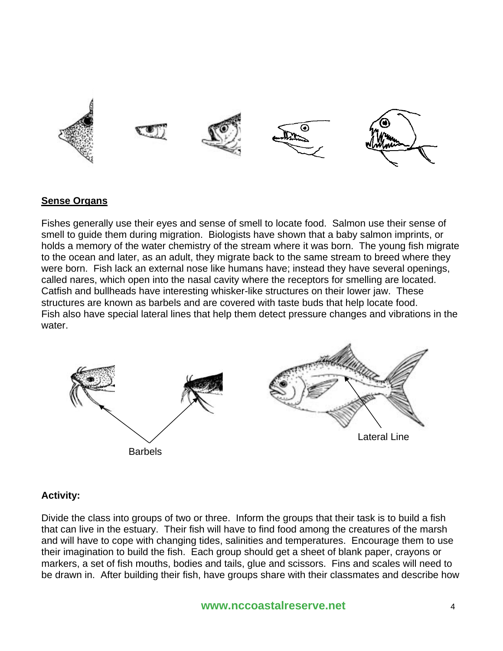

#### **Sense Organs**

Fishes generally use their eyes and sense of smell to locate food. Salmon use their sense of smell to guide them during migration. Biologists have shown that a baby salmon imprints, or holds a memory of the water chemistry of the stream where it was born. The young fish migrate to the ocean and later, as an adult, they migrate back to the same stream to breed where they were born. Fish lack an external nose like humans have; instead they have several openings, called nares, which open into the nasal cavity where the receptors for smelling are located. Catfish and bullheads have interesting whisker-like structures on their lower jaw. These structures are known as barbels and are covered with taste buds that help locate food. Fish also have special lateral lines that help them detect pressure changes and vibrations in the water.



#### **Activity:**

Divide the class into groups of two or three. Inform the groups that their task is to build a fish that can live in the estuary. Their fish will have to find food among the creatures of the marsh and will have to cope with changing tides, salinities and temperatures. Encourage them to use their imagination to build the fish. Each group should get a sheet of blank paper, crayons or markers, a set of fish mouths, bodies and tails, glue and scissors. Fins and scales will need to be drawn in. After building their fish, have groups share with their classmates and describe how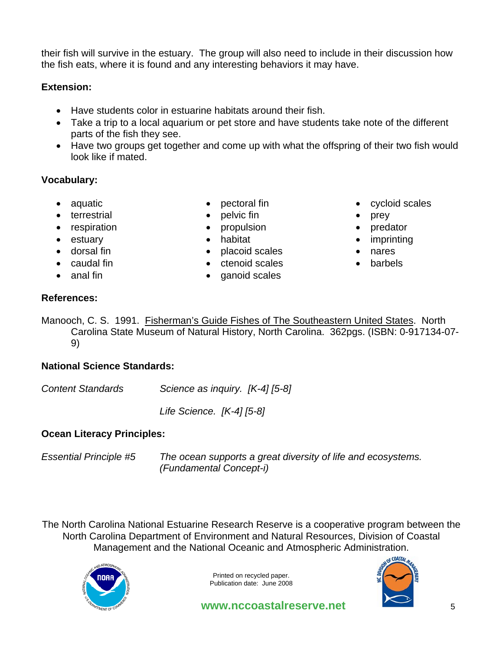their fish will survive in the estuary. The group will also need to include in their discussion how the fish eats, where it is found and any interesting behaviors it may have.

# **Extension:**

- Have students color in estuarine habitats around their fish.
- Take a trip to a local aquarium or pet store and have students take note of the different parts of the fish they see.
- Have two groups get together and come up with what the offspring of their two fish would look like if mated.

# **Vocabulary:**

- aquatic
- terrestrial
- respiration
- estuary
- dorsal fin
- caudal fin
- anal fin
- pectoral fin
- pelvic fin
- propulsion
- habitat
- placoid scales
- ctenoid scales
- ganoid scales
- cycloid scales
- prey
- predator
- imprinting
- nares
- barbels

# **References:**

Manooch, C. S. 1991. Fisherman's Guide Fishes of The Southeastern United States. North Carolina State Museum of Natural History, North Carolina. 362pgs. (ISBN: 0-917134-07- 9)

# **National Science Standards:**

*Content Standards Science as inquiry. [K-4] [5-8]* 

 *Life Science. [K-4] [5-8]* 

# **Ocean Literacy Principles:**

*Essential Principle #5 The ocean supports a great diversity of life and ecosystems. (Fundamental Concept-i)* 

The North Carolina National Estuarine Research Reserve is a cooperative program between the North Carolina Department of Environment and Natural Resources, Division of Coastal Management and the National Oceanic and Atmospheric Administration.



Printed on recycled paper. Publication date: June 2008



**www.nccoastalreserve.net** 5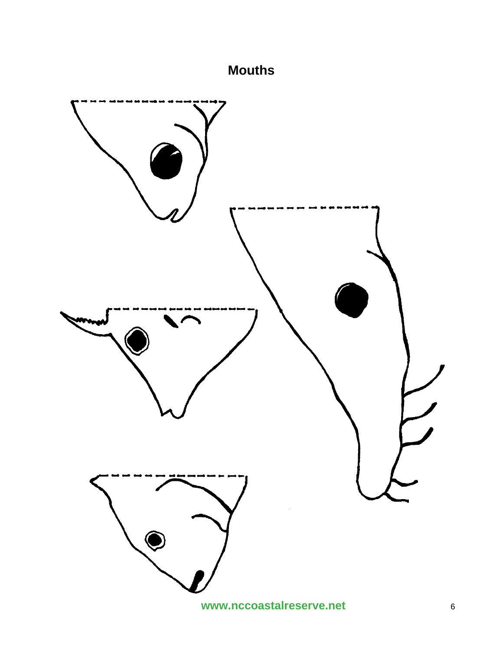# **Mouths**

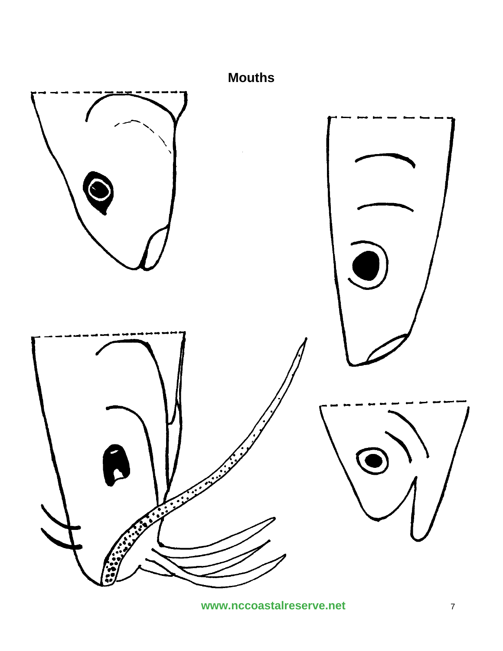

www.nccoastalreserve.net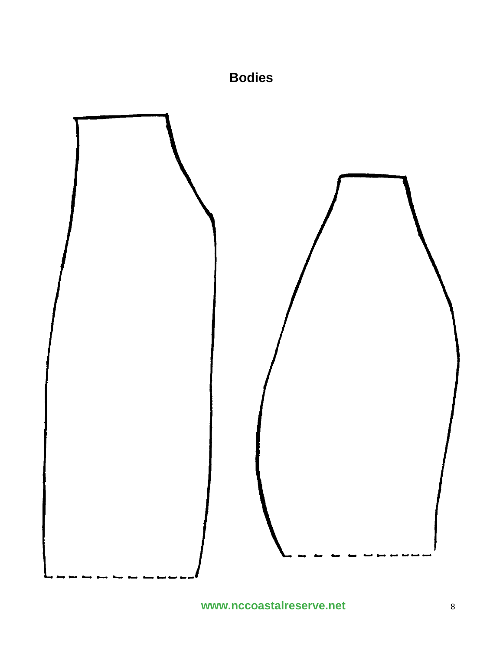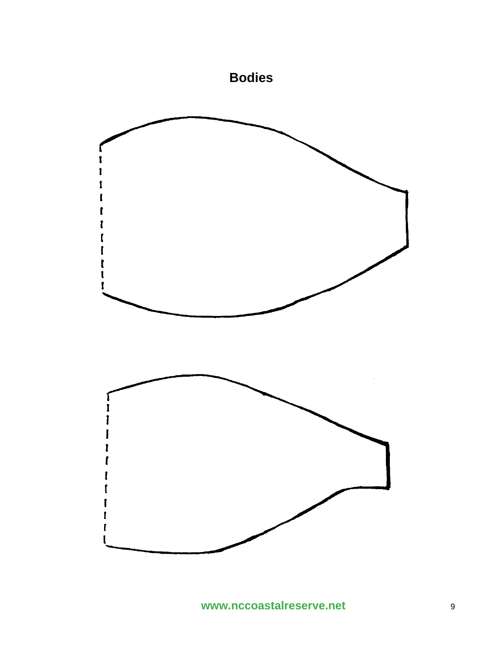

www.nccoastalreserve.net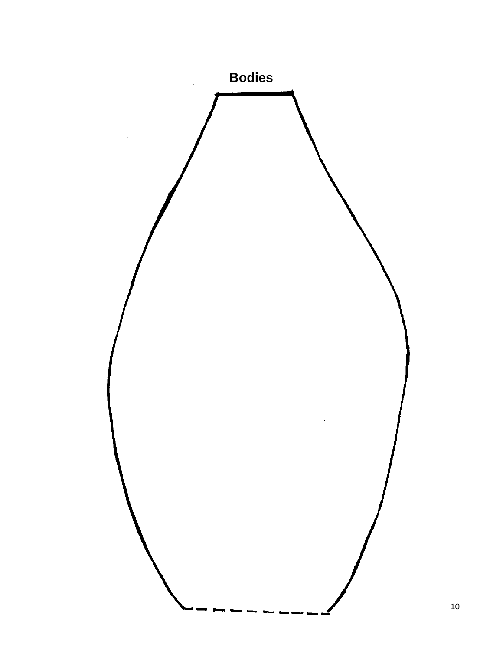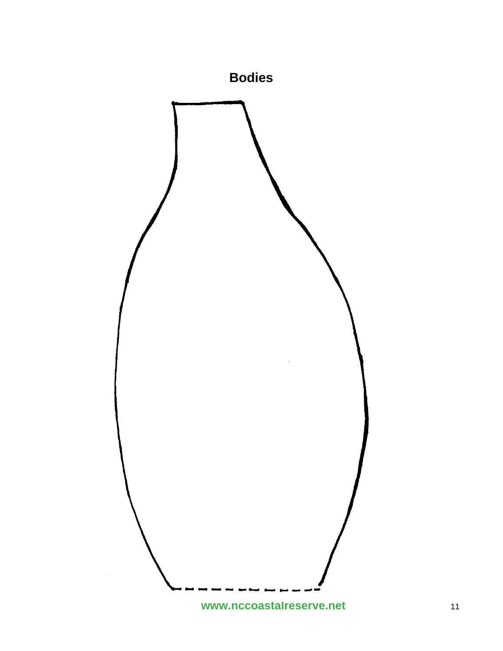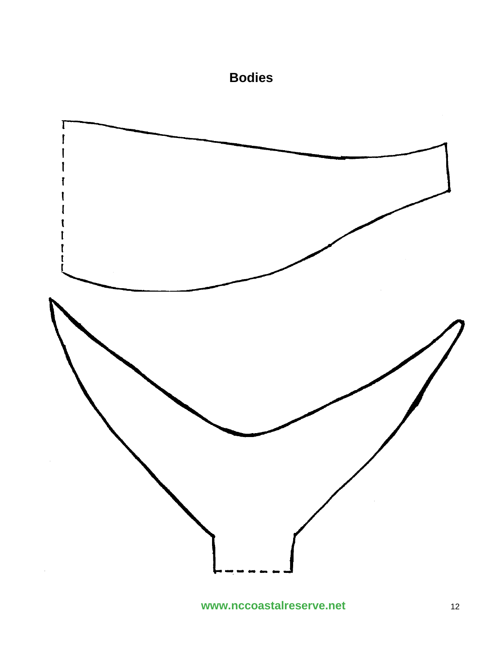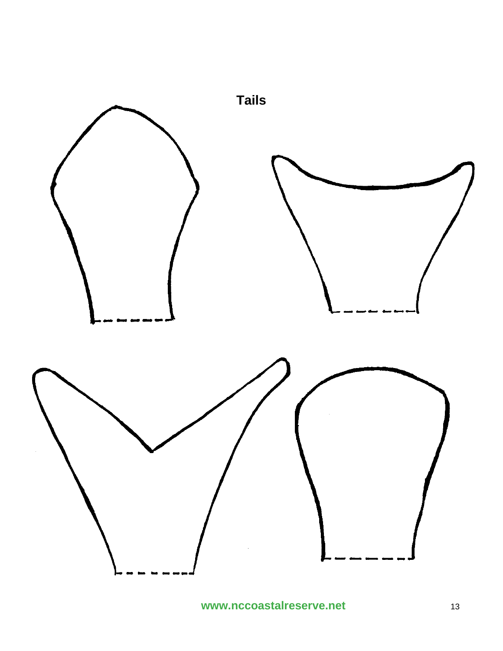